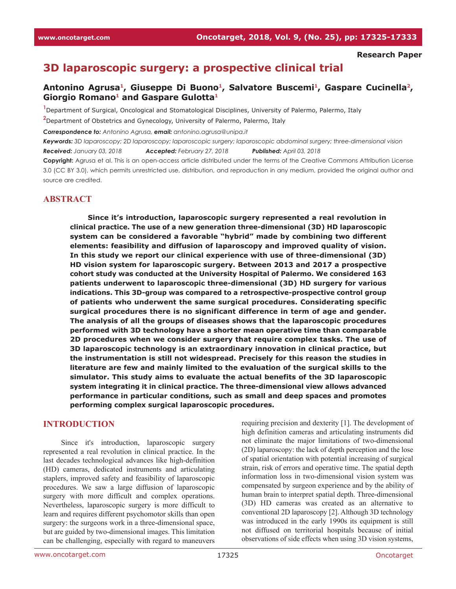#### **Research Paper**

# **3D laparoscopic surgery: a prospective clinical trial**

### Antonino Agrusa<sup>1</sup>, Giuseppe Di Buono<sup>1</sup>, Salvatore Buscemi<sup>1</sup>, Gaspare Cucinella<sup>2</sup>, Giorgio Romano<sup>1</sup> and Gaspare Gulotta<sup>1</sup>

**1** Department of Surgical, Oncological and Stomatological Disciplines, University of Palermo, Palermo, Italy

**2** Department of Obstetrics and Gynecology, University of Palermo, Palermo, Italy

*Correspondence to: Antonino Agrusa, email: antonino.agrusa@unipa.it*

*Keywords: 3D laparoscopy; 2D laparoscopy; laparoscopic surgery; laparoscopic abdominal surgery; three-dimensional vision Received: January 03, 2018 Accepted: February 27, 2018 Published: April 03, 2018*

**Copyright:** Agrusa et al. This is an open-access article distributed under the terms of the Creative Commons Attribution License 3.0 (CC BY 3.0), which permits unrestricted use, distribution, and reproduction in any medium, provided the original author and source are credited.

### **ABSTRACT**

**Since it's introduction, laparoscopic surgery represented a real revolution in clinical practice. The use of a new generation three-dimensional (3D) HD laparoscopic system can be considered a favorable "hybrid" made by combining two different elements: feasibility and diffusion of laparoscopy and improved quality of vision. In this study we report our clinical experience with use of three-dimensional (3D) HD vision system for laparoscopic surgery. Between 2013 and 2017 a prospective cohort study was conducted at the University Hospital of Palermo. We considered 163 patients underwent to laparoscopic three-dimensional (3D) HD surgery for various indications. This 3D-group was compared to a retrospective-prospective control group of patients who underwent the same surgical procedures. Considerating specific surgical procedures there is no significant difference in term of age and gender. The analysis of all the groups of diseases shows that the laparoscopic procedures performed with 3D technology have a shorter mean operative time than comparable 2D procedures when we consider surgery that require complex tasks. The use of 3D laparoscopic technology is an extraordinary innovation in clinical practice, but the instrumentation is still not widespread. Precisely for this reason the studies in literature are few and mainly limited to the evaluation of the surgical skills to the simulator. This study aims to evaluate the actual benefits of the 3D laparoscopic system integrating it in clinical practice. The three-dimensional view allows advanced performance in particular conditions, such as small and deep spaces and promotes performing complex surgical laparoscopic procedures.**

#### **INTRODUCTION**

Since it's introduction, laparoscopic surgery represented a real revolution in clinical practice. In the last decades technological advances like high-definition (HD) cameras, dedicated instruments and articulating staplers, improved safety and feasibility of laparoscopic procedures. We saw a large diffusion of laparoscopic surgery with more difficult and complex operations. Nevertheless, laparoscopic surgery is more difficult to learn and requires different psychomotor skills than open surgery: the surgeons work in a three-dimensional space, but are guided by two-dimensional images. This limitation can be challenging, especially with regard to maneuvers

requiring precision and dexterity [1]. The development of high definition cameras and articulating instruments did not eliminate the major limitations of two-dimensional (2D) laparoscopy: the lack of depth perception and the lose of spatial orientation with potential increasing of surgical strain, risk of errors and operative time. The spatial depth information loss in two-dimensional vision system was compensated by surgeon experience and by the ability of human brain to interpret spatial depth. Three-dimensional (3D) HD cameras was created as an alternative to conventional 2D laparoscopy [2]. Although 3D technology was introduced in the early 1990s its equipment is still not diffused on territorial hospitals because of initial observations of side effects when using 3D vision systems,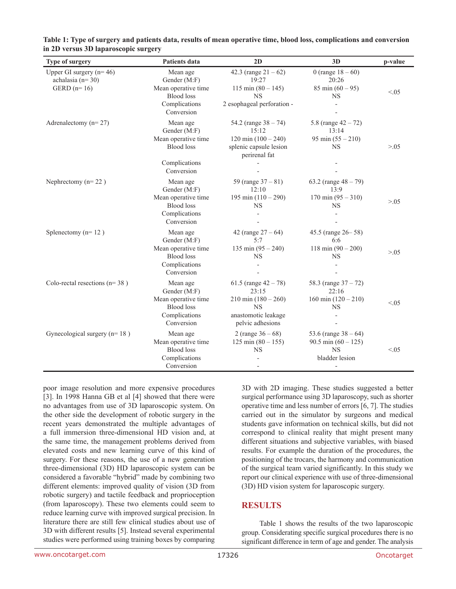| Type of surgery                                                    | Patients data                                                                                       | 2D                                                                                                                         | 3D                                                                                                 | p-value |
|--------------------------------------------------------------------|-----------------------------------------------------------------------------------------------------|----------------------------------------------------------------------------------------------------------------------------|----------------------------------------------------------------------------------------------------|---------|
| Upper GI surgery $(n=46)$<br>achalasia ( $n=30$ )<br>GERD $(n=16)$ | Mean age<br>Gender (M:F)<br>Mean operative time<br><b>Blood</b> loss<br>Complications<br>Conversion | 42.3 (range $21 - 62$ )<br>19:27<br>$115 \text{ min } (80 - 145)$<br><b>NS</b><br>2 esophageal perforation -               | 0 (range $18 - 60$ )<br>20:26<br>$85 \text{ min } (60 - 95)$<br><b>NS</b>                          | < 0.05  |
| Adrenalectomy ( $n=27$ )                                           | Mean age<br>Gender (M:F)<br>Mean operative time<br><b>Blood</b> loss<br>Complications<br>Conversion | 54.2 (range $38 - 74$ )<br>15:12<br>$120 \text{ min } (100 - 240)$<br>splenic capsule lesion<br>perirenal fat              | 5.8 (range $42 - 72$ )<br>13:14<br>95 min $(55 - 210)$<br><b>NS</b>                                | > 0.05  |
| Nephrectomy $(n=22)$                                               | Mean age<br>Gender (M:F)<br>Mean operative time<br><b>Blood</b> loss<br>Complications<br>Conversion | 59 (range $37 - 81$ )<br>12:10<br>195 min $(110 - 290)$<br><b>NS</b>                                                       | 63.2 (range $48 - 79$ )<br>13:9<br>$170 \text{ min } (95 - 310)$<br><b>NS</b>                      | > 0.05  |
| Splenectomy ( $n=12$ )                                             | Mean age<br>Gender (M:F)<br>Mean operative time<br><b>Blood</b> loss<br>Complications<br>Conversion | 42 (range $27 - 64$ )<br>5:7<br>135 min $(95 - 240)$<br><b>NS</b>                                                          | 45.5 (range 26-58)<br>6:6<br>$118 \text{ min } (90 - 200)$<br><b>NS</b>                            | > 0.05  |
| Colo-rectal resections ( $n=38$ )                                  | Mean age<br>Gender (M:F)<br>Mean operative time<br><b>Blood</b> loss<br>Complications<br>Conversion | 61.5 (range $42 - 78$ )<br>23:15<br>$210 \text{ min } (180 - 260)$<br><b>NS</b><br>anastomotic leakage<br>pelvic adhesions | 58.3 (range $37 - 72$ )<br>22:16<br>160 min $(120 - 210)$<br><b>NS</b><br>$\overline{\phantom{0}}$ | < 0.5   |
| Gynecological surgery $(n=18)$                                     | Mean age<br>Mean operative time<br><b>Blood</b> loss<br>Complications<br>Conversion                 | 2 (range $36 - 68$ )<br>$125 \text{ min } (80 - 155)$<br><b>NS</b>                                                         | 53.6 (range $38 - 64$ )<br>90.5 min $(60 - 125)$<br><b>NS</b><br>bladder lesion                    | < 0.05  |

**Table 1: Type of surgery and patients data, results of mean operative time, blood loss, complications and conversion in 2D versus 3D laparoscopic surgery**

poor image resolution and more expensive procedures [3]. In 1998 Hanna GB et al [4] showed that there were no advantages from use of 3D laparoscopic system. On the other side the development of robotic surgery in the recent years demonstrated the multiple advantages of a full immersion three-dimensional HD vision and, at the same time, the management problems derived from elevated costs and new learning curve of this kind of surgery. For these reasons, the use of a new generation three-dimensional (3D) HD laparoscopic system can be considered a favorable "hybrid" made by combining two different elements: improved quality of vision (3D from robotic surgery) and tactile feedback and proprioception (from laparoscopy). These two elements could seem to reduce learning curve with improved surgical precision. In literature there are still few clinical studies about use of 3D with different results [5]. Instead several experimental studies were performed using training boxes by comparing

3D with 2D imaging. These studies suggested a better surgical performance using 3D laparoscopy, such as shorter operative time and less number of errors [6, 7]. The studies carried out in the simulator by surgeons and medical students gave information on technical skills, but did not correspond to clinical reality that might present many different situations and subjective variables, with biased results. For example the duration of the procedures, the positioning of the trocars, the harmony and communication of the surgical team varied significantly. In this study we report our clinical experience with use of three-dimensional (3D) HD vision system for laparoscopic surgery.

### **RESULTS**

Table 1 shows the results of the two laparoscopic group. Considerating specific surgical procedures there is no significant difference in term of age and gender. The analysis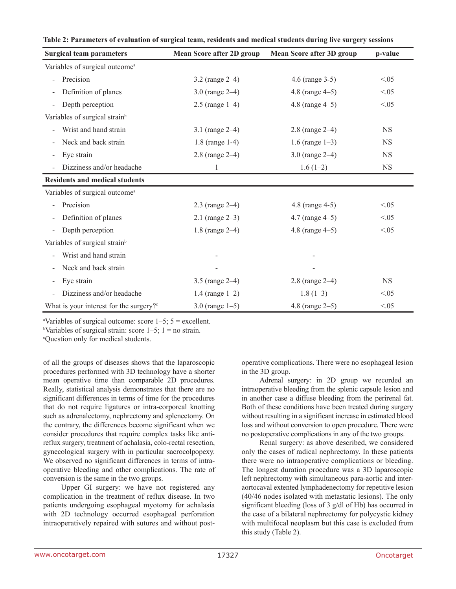| <b>Surgical team parameters</b>                     | <b>Mean Score after 2D group</b> | <b>Mean Score after 3D group</b> | p-value   |
|-----------------------------------------------------|----------------------------------|----------------------------------|-----------|
| Variables of surgical outcome <sup>a</sup>          |                                  |                                  |           |
| Precision                                           | 3.2 (range $2-4$ )               | 4.6 (range 3-5)                  | < 0.05    |
| Definition of planes                                | 3.0 (range $2-4$ )               | 4.8 (range $4-5$ )               | < 0.05    |
| Depth perception                                    | $2.5$ (range 1–4)                | 4.8 (range 4-5)                  | < 0.05    |
| Variables of surgical strain <sup>b</sup>           |                                  |                                  |           |
| Wrist and hand strain                               | 3.1 (range $2-4$ )               | $2.8$ (range $2-4$ )             | <b>NS</b> |
| Neck and back strain                                | $1.8$ (range 1-4)                | 1.6 (range $1-3$ )               | <b>NS</b> |
| Eye strain                                          | $2.8$ (range $2-4$ )             | 3.0 (range $2-4$ )               | <b>NS</b> |
| Dizziness and/or headache                           | 1                                | $1.6(1-2)$                       | <b>NS</b> |
| <b>Residents and medical students</b>               |                                  |                                  |           |
| Variables of surgical outcome <sup>a</sup>          |                                  |                                  |           |
| Precision                                           | $2.3$ (range $2-4$ )             | 4.8 (range 4-5)                  | < 0.05    |
| Definition of planes                                | 2.1 (range $2-3$ )               | $4.7$ (range $4-5$ )             | < 0.05    |
| Depth perception                                    | 1.8 (range 2-4)                  | 4.8 (range $4-5$ )               | < 0.05    |
| Variables of surgical strain <sup>b</sup>           |                                  |                                  |           |
| Wrist and hand strain                               |                                  |                                  |           |
| Neck and back strain                                |                                  |                                  |           |
| Eye strain                                          | 3.5 (range $2-4$ )               | 2.8 (range 2-4)                  | <b>NS</b> |
| Dizziness and/or headache                           | 1.4 (range $1-2$ )               | $1.8(1-3)$                       | < 0.05    |
| What is your interest for the surgery? <sup>c</sup> | 3.0 (range $1-5$ )               | 4.8 (range $2-5$ )               | < 0.05    |

| Table 2: Parameters of evaluation of surgical team, residents and medical students during live surgery sessions |  |  |  |
|-----------------------------------------------------------------------------------------------------------------|--|--|--|
|-----------------------------------------------------------------------------------------------------------------|--|--|--|

<sup>a</sup>Variables of surgical outcome: score  $1-5$ ;  $5 =$  excellent.

<sup>b</sup>Variables of surgical strain: score  $1-5$ ;  $1 =$  no strain.

c Question only for medical students.

of all the groups of diseases shows that the laparoscopic procedures performed with 3D technology have a shorter mean operative time than comparable 2D procedures. Really, statistical analysis demonstrates that there are no significant differences in terms of time for the procedures that do not require ligatures or intra-corporeal knotting such as adrenalectomy, nephrectomy and splenectomy. On the contrary, the differences become significant when we consider procedures that require complex tasks like antireflux surgery, treatment of achalasia, colo-rectal resection, gynecological surgery with in particular sacrocolpopexy. We observed no significant differences in terms of intraoperative bleeding and other complications. The rate of conversion is the same in the two groups.

Upper GI surgery: we have not registered any complication in the treatment of reflux disease. In two patients undergoing esophageal myotomy for achalasia with 2D technology occurred esophageal perforation intraoperatively repaired with sutures and without postoperative complications. There were no esophageal lesion in the 3D group.

Adrenal surgery: in 2D group we recorded an intraoperative bleeding from the splenic capsule lesion and in another case a diffuse bleeding from the perirenal fat. Both of these conditions have been treated during surgery without resulting in a significant increase in estimated blood loss and without conversion to open procedure. There were no postoperative complications in any of the two groups.

Renal surgery: as above described, we considered only the cases of radical nephrectomy. In these patients there were no intraoperative complications or bleeding. The longest duration procedure was a 3D laparoscopic left nephrectomy with simultaneous para-aortic and interaortocaval extented lymphadenectomy for repetitive lesion (40/46 nodes isolated with metastatic lesions). The only significant bleeding (loss of 3 g/dl of Hb) has occurred in the case of a bilateral nephrectomy for polycystic kidney with multifocal neoplasm but this case is excluded from this study (Table 2).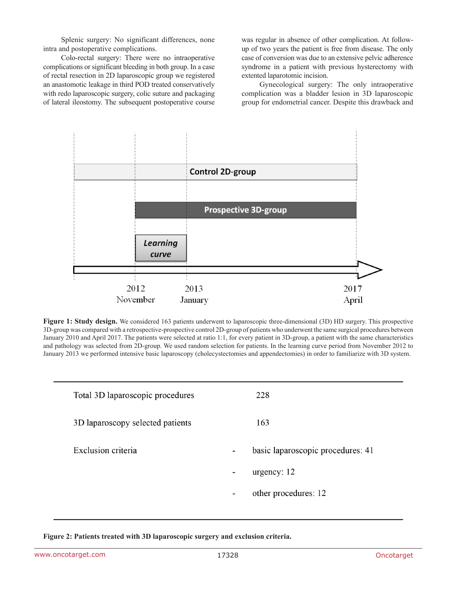Splenic surgery: No significant differences, none intra and postoperative complications.

Colo-rectal surgery: There were no intraoperative complications or significant bleeding in both group. In a case of rectal resection in 2D laparoscopic group we registered an anastomotic leakage in third POD treated conservatively with redo laparoscopic surgery, colic suture and packaging of lateral ileostomy. The subsequent postoperative course

was regular in absence of other complication. At followup of two years the patient is free from disease. The only case of conversion was due to an extensive pelvic adherence syndrome in a patient with previous hysterectomy with extented laparotomic incision.

Gynecological surgery: The only intraoperative complication was a bladder lesion in 3D laparoscopic group for endometrial cancer. Despite this drawback and



**Figure 1: Study design.** We considered 163 patients underwent to laparoscopic three-dimensional (3D) HD surgery. This prospective 3D-group was compared with a retrospective-prospective control 2D-group of patients who underwent the same surgical procedures between January 2010 and April 2017. The patients were selected at ratio 1:1, for every patient in 3D-group, a patient with the same characteristics and pathology was selected from 2D-group. We used random selection for patients. In the learning curve period from November 2012 to January 2013 we performed intensive basic laparoscopy (cholecystectomies and appendectomies) in order to familiarize with 3D system.

| Total 3D laparoscopic procedures | 228                               |
|----------------------------------|-----------------------------------|
| 3D laparoscopy selected patients | 163                               |
| Exclusion criteria               | basic laparoscopic procedures: 41 |
|                                  | urgency: $12$<br>۰                |
|                                  | other procedures: 12<br>-         |
|                                  |                                   |

**Figure 2: Patients treated with 3D laparoscopic surgery and exclusion criteria.**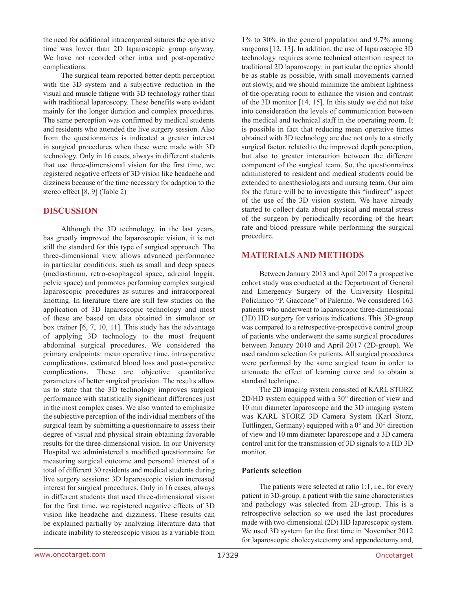the need for additional intracorporeal sutures the operative time was lower than 2D laparoscopic group anyway. We have not recorded other intra and post-operative complications.

The surgical team reported better depth perception with the 3D system and a subjective reduction in the visual and muscle fatigue with 3D technology rather than with traditional laparoscopy. These benefits were evident mainly for the longer duration and complex procedures. The same perception was confirmed by medical students and residents who attended the live surgery session. Also from the questionnaires is indicated a greater interest in surgical procedures when these were made with 3D technology. Only in 16 cases, always in different students that use three-dimensional vision for the first time, we registered negative effects of 3D vision like headache and dizziness because of the time necessary for adaption to the stereo effect [8, 9] (Table 2)

### **DISCUSSION**

Although the 3D technology, in the last years, has greatly improved the laparoscopic vision, it is not still the standard for this type of surgical approach. The three-dimensional view allows advanced performance in particular conditions, such as small and deep spaces (mediastinum, retro-esophageal space, adrenal loggia, pelvic space) and promotes performing complex surgical laparoscopic procedures as sutures and intracorporeal knotting. In literature there are still few studies on the application of 3D laparoscopic technology and most of these are based on data obtained in simulator or box trainer [6, 7, 10, 11]. This study has the advantage of applying 3D technology to the most frequent abdominal surgical procedures. We considered the primary endpoints: mean operative time, intraoperative complications, estimated blood loss and post-operative complications. These are objective quantitative parameters of better surgical precision. The results allow us to state that the 3D technology improves surgical performance with statistically significant differences just in the most complex cases. We also wanted to emphasize the subjective perception of the individual members of the surgical team by submitting a questionnaire to assess their degree of visual and physical strain obtaining favorable results for the three-dimensional vision. In our University Hospital we administered a modified questionnaire for measuring surgical outcome and personal interest of a total of different 30 residents and medical students during live surgery sessions: 3D laparoscopic vision increased interest for surgical procedures. Only in 16 cases, always in different students that used three-dimensional vision for the first time, we registered negative effects of 3D vision like headache and dizziness. These results can be explained partially by analyzing literature data that indicate inability to stereoscopic vision as a variable from 1% to 30% in the general population and 9.7% among surgeons [12, 13]. In addition, the use of laparoscopic 3D technology requires some technical attention respect to traditional 2D laparoscopy: in particular the optics should be as stable as possible, with small movements carried out slowly, and we should minimize the ambient lightness of the operating room to enhance the vision and contrast of the 3D monitor [14, 15]. In this study we did not take into consideration the levels of communication between the medical and technical staff in the operating room. It is possible in fact that reducing mean operative times obtained with 3D technology are due not only to a strictly surgical factor, related to the improved depth perception, but also to greater interaction between the different component of the surgical team. So, the questionnaires administered to resident and medical students could be extended to anesthesiologists and nursing team. Our aim for the future will be to investigate this "indirect" aspect of the use of the 3D vision system. We have already started to collect data about physical and mental stress of the surgeon by periodically recording of the heart rate and blood pressure while performing the surgical procedure.

### **MATERIALS AND METHODS**

Between January 2013 and April 2017 a prospective cohort study was conducted at the Department of General and Emergency Surgery of the University Hospital Policlinico "P. Giaccone" of Palermo. We considered 163 patients who underwent to laparoscopic three-dimensional (3D) HD surgery for various indications. This 3D-group was compared to a retrospective-prospective control group of patients who underwent the same surgical procedures between January 2010 and April 2017 (2D-group). We used random selection for patients. All surgical procedures were performed by the same surgical team in order to attenuate the effect of learning curve and to obtain a standard technique.

The 2D imaging system consisted of KARL STORZ 2D/HD system equipped with a 30° direction of view and 10 mm diameter laparoscope and the 3D imaging system was KARL STORZ 3D Camera System (Karl Storz, Tuttlingen, Germany) equipped with a 0° and 30° direction of view and 10 mm diameter laparoscope and a 3D camera control unit for the transmission of 3D signals to a HD 3D monitor.

#### **Patients selection**

The patients were selected at ratio 1:1, i.e., for every patient in 3D-group, a patient with the same characteristics and pathology was selected from 2D-group. This is a retrospective selection so we used the last procedures made with two-dimensional (2D) HD laparoscopic system. We used 3D system for the first time in November 2012 for laparoscopic cholecystectomy and appendectomy and,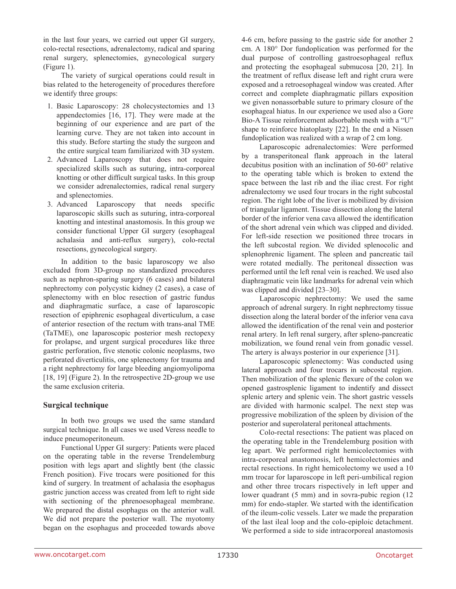in the last four years, we carried out upper GI surgery, colo-rectal resections, adrenalectomy, radical and sparing renal surgery, splenectomies, gynecological surgery (Figure 1).

The variety of surgical operations could result in bias related to the heterogeneity of procedures therefore we identify three groups:

- 1. Basic Laparoscopy: 28 cholecystectomies and 13 appendectomies [16, 17]. They were made at the beginning of our experience and are part of the learning curve. They are not taken into account in this study. Before starting the study the surgeon and the entire surgical team familiarized with 3D system.
- 2. Advanced Laparoscopy that does not require specialized skills such as suturing, intra-corporeal knotting or other difficult surgical tasks. In this group we consider adrenalectomies, radical renal surgery and splenectomies.
- 3. Advanced Laparoscopy that needs specific laparoscopic skills such as suturing, intra-corporeal knotting and intestinal anastomosis. In this group we consider functional Upper GI surgery (esophageal achalasia and anti-reflux surgery), colo-rectal resections, gynecological surgery.

In addition to the basic laparoscopy we also excluded from 3D-group no standardized procedures such as nephron-sparing surgery (6 cases) and bilateral nephrectomy con polycystic kidney (2 cases), a case of splenectomy with en bloc resection of gastric fundus and diaphragmatic surface, a case of laparoscopic resection of epiphrenic esophageal diverticulum, a case of anterior resection of the rectum with trans-anal TME (TaTME), one laparoscopic posterior mesh rectopexy for prolapse, and urgent surgical procedures like three gastric perforation, five stenotic colonic neoplasms, two perforated diverticulitis, one splenectomy for trauma and a right nephrectomy for large bleeding angiomyolipoma [18, 19] (Figure 2). In the retrospective 2D-group we use the same exclusion criteria.

#### **Surgical technique**

In both two groups we used the same standard surgical technique. In all cases we used Veress needle to induce pneumoperitoneum.

Functional Upper GI surgery: Patients were placed on the operating table in the reverse Trendelemburg position with legs apart and slightly bent (the classic French position). Five trocars were positioned for this kind of surgery. In treatment of achalasia the esophagus gastric junction access was created from left to right side with sectioning of the phrenoesophageal membrane. We prepared the distal esophagus on the anterior wall. We did not prepare the posterior wall. The myotomy began on the esophagus and proceeded towards above 4-6 cm, before passing to the gastric side for another 2 cm. A 180° Dor fundoplication was performed for the dual purpose of controlling gastroesophageal reflux and protecting the esophageal submucosa [20, 21]. In the treatment of reflux disease left and right crura were exposed and a retroesophageal window was created. After correct and complete diaphragmatic pillars exposition we given nonassorbable suture to primary closure of the esophageal hiatus. In our experience we used also a Gore Bio-A Tissue reinforcement adsorbable mesh with a "U" shape to reinforce hiatoplasty [22]. In the end a Nissen fundoplication was realized with a wrap of 2 cm long.

Laparoscopic adrenalectomies: Were performed by a transperitoneal flank approach in the lateral decubitus position with an inclination of 50-60° relative to the operating table which is broken to extend the space between the last rib and the iliac crest. For right adrenalectomy we used four trocars in the right subcostal region. The right lobe of the liver is mobilized by division of triangular ligament. Tissue dissection along the lateral border of the inferior vena cava allowed the identification of the short adrenal vein which was clipped and divided. For left-side resection we positioned three trocars in the left subcostal region. We divided splenocolic and splenophrenic ligament. The spleen and pancreatic tail were rotated medially. The peritoneal dissection was performed until the left renal vein is reached. We used also diaphragmatic vein like landmarks for adrenal vein which was clipped and divided [23–30].

Laparoscopic nephrectomy: We used the same approach of adrenal surgery. In right nephrectomy tissue dissection along the lateral border of the inferior vena cava allowed the identification of the renal vein and posterior renal artery. In left renal surgery, after spleno-pancreatic mobilization, we found renal vein from gonadic vessel. The artery is always posterior in our experience [31].

Laparoscopic splenectomy: Was conducted using lateral approach and four trocars in subcostal region. Then mobilization of the splenic flexure of the colon we opened gastrosplenic ligament to indentify and dissect splenic artery and splenic vein. The short gastric vessels are divided with harmonic scalpel. The next step was progressive mobilization of the spleen by division of the posterior and superolateral peritoneal attachments.

Colo-rectal resections: The patient was placed on the operating table in the Trendelemburg position with leg apart. We performed right hemicolectomies with intra-corporeal anastomosis, left hemicolectomies and rectal resections. In right hemicolectomy we used a 10 mm trocar for laparoscope in left peri-umbilical region and other three trocars rispectively in left upper and lower quadrant (5 mm) and in sovra-pubic region (12 mm) for endo-stapler. We started with the identification of the ileum-colic vessels. Later we made the preparation of the last ileal loop and the colo-epiploic detachment. We performed a side to side intracorporeal anastomosis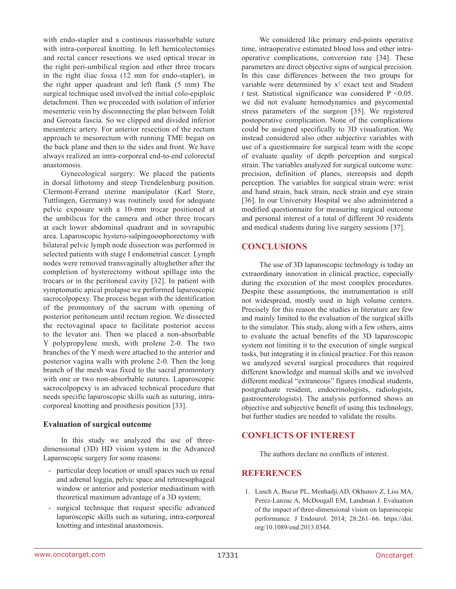with endo-stapler and a continous riassorbable suture with intra-corporeal knotting. In left hemicolectomies and rectal cancer resections we used optical trocar in the right peri-umbilical region and other three trocars in the right iliac fossa (12 mm for endo-stapler), in the right upper quadrant and left flank (5 mm) The surgical technique used involved the initial colo-epiploic detachment. Then we proceeded with isolation of inferior mesenteric vein by disconnecting the plan between Toldt and Geroata fascia. So we clipped and divided inferior mesenteric artery. For anterior resection of the rectum approach to mesorectum with running TME began on the back plane and then to the sides and front. We have always realized an intra-corporeal end-to-end colorectal anastomosis.

Gynecological surgery: We placed the patients in dorsal lithotomy and steep Trendelenburg position. Clermont-Ferrand uterine manipulator (Karl Storz, Tuttlingen, Germany) was routinely used for adequate pelvic exposure with a 10-mm trocar positioned at the umbilicus for the camera and other three trocars at each lower abdominal quadrant and in sovrapubic area. Laparoscopic hystero-salpingooophorectomy with bilateral pelvic lymph node dissection was performed in selected patients with stage I endometrial cancer. Lymph nodes were removed transvaginally altoghether after the completion of hysterectomy without spillage into the trocars or in the peritoneal cavity [32]. In patient with symptomatic apical prolapse we performed laparoscopic sacrocolpopexy. The process began with the identification of the promontory of the sacrum with opening of posterior peritoneum until rectum region. We dissected the rectovaginal space to facilitate posterior access to the levator ani. Then we placed a non-absorbable Y polypropylene mesh, with prolene 2-0. The two branches of the Y mesh were attached to the anterior and posterior vagina walls with prolene 2-0. Then the long branch of the mesh was fixed to the sacral promontory with one or two non-absorbable sutures. Laparoscopic sacrocolpopexy is an advaced technical procedure that needs specific laparoscopic skills such as suturing, intracorporeal knotting and prosthesis position [33].

#### **Evaluation of surgical outcome**

In this study we analyzed the use of threedimensional (3D) HD vision system in the Advanced Laparoscopic surgery for some reasons:

- particular deep location or small spaces such us renal and adrenal loggia, pelvic space and retroesophageal window or anterior and posterior mediastinum with theoretical maximum advantage of a 3D system;
- surgical technique that request specific advanced laparoscopic skills such as suturing, intra-corporeal knotting and intestinal anastomosis.

We considered like primary end-points operative time, intraoperative estimated blood loss and other intraoperative complications, conversion rate [34]. These parameters are direct objective signs of surgical precision. In this case differences between the two groups for variable were determined by  $x^2$  exact test and Student *t* test. Statistical significance was considered P <0.05. we did not evaluate hemodynamics and psycomental stress parameters of the surgeon [35]. We registered postoperative complication. None of the complications could be assigned specifically to 3D visualization. We instead considered also other subjective variables with use of a questionnaire for surgical team with the scope of evaluate quality of depth perception and surgical strain. The variables analyzed for surgical outcome were: precision, definition of planes, stereopsis and depth perception. The variables for surgical strain were: wrist and hand strain, back strain, neck strain and eye strain [36]. In our University Hospital we also administered a modified questionnaire for measuring surgical outcome and personal interest of a total of different 30 residents and medical students during live surgery sessions [37].

### **CONCLUSIONS**

The use of 3D laparoscopic technology is today an extraordinary innovation in clinical practice, especially during the execution of the most complex procedures. Despite these assumptions, the instrumentation is still not widespread, mostly used in high volume centers. Precisely for this reason the studies in literature are few and mainly limited to the evaluation of the surgical skills to the simulator. This study, along with a few others, aims to evaluate the actual benefits of the 3D laparoscopic system not limiting it to the execution of single surgical tasks, but integrating it in clinical practice. For this reason we analyzed several surgical procedures that required different knowledge and manual skills and we involved different medical "extraneous" figures (medical students, postgraduate resident, endocrinologists, radiologists, gastroenterologists). The analysis performed shows an objective and subjective benefit of using this technology, but further studies are needed to validate the results.

## **CONFLICTS OF INTEREST**

The authors declare no conflicts of interest.

#### **REFERENCES**

1. Lusch A, Bucur PL, Menhadji AD, Okhunov Z, Liss MA, Perez-Lanzac A, McDougall EM, Landman J. Evaluation of the impact of three-dimensional vision on laparoscopic performance. J Endourol. 2014; 28:261–66. [https://doi.](https://doi.org/10.1089/end.2013.0344) [org/10.1089/end.2013.0344](https://doi.org/10.1089/end.2013.0344).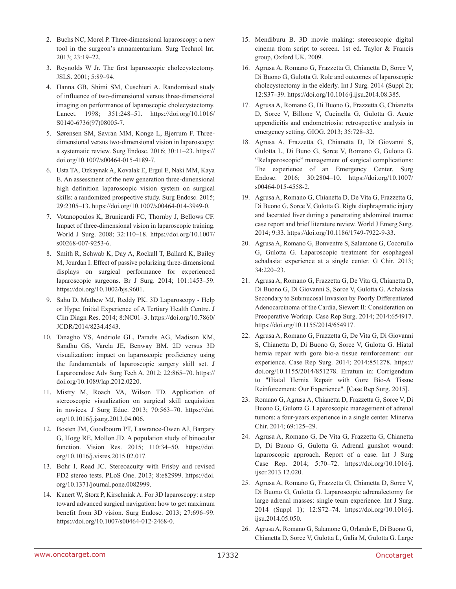- 2. Buchs NC, Morel P. Three-dimensional laparoscopy: a new tool in the surgeon's armamentarium. Surg Technol Int. 2013; 23:19–22.
- 3. Reynolds W Jr. The first laparoscopic cholecystectomy. JSLS. 2001; 5:89–94.
- 4. Hanna GB, Shimi SM, Cuschieri A. Randomised study of influence of two-dimensional versus three-dimensional imaging on performance of laparoscopic cholecystectomy. Lancet. 1998; 351:248–51. [https://doi.org/10.1016/](https://doi.org/10.1016/S0140-6736) [S0140-6736](https://doi.org/10.1016/S0140-6736)(97)08005-7.
- 5. Sørensen SM, Savran MM, Konge L, Bjerrum F. Threedimensional versus two-dimensional vision in laparoscopy: a systematic review. Surg Endosc. 2016; 30:11–23. [https://](https://doi.org/10.1007/s00464-015-4189-7) [doi.org/10.1007/s00464-015-4189-7.](https://doi.org/10.1007/s00464-015-4189-7)
- 6. Usta TA, Ozkaynak A, Kovalak E, Ergul E, Naki MM, Kaya E. An assessment of the new generation three-dimensional high definition laparoscopic vision system on surgical skills: a randomized prospective study. Surg Endosc. 2015; 29:2305–13. <https://doi.org/10.1007/s00464-014-3949-0>.
- 7. Votanopoulos K, Brunicardi FC, Thornby J, Bellows CF. Impact of three-dimensional vision in laparoscopic training. World J Surg. 2008; 32:110–18. [https://doi.org/10.1007/](https://doi.org/10.1007/s00268-007-9253-6) [s00268-007-9253-6.](https://doi.org/10.1007/s00268-007-9253-6)
- 8. Smith R, Schwab K, Day A, Rockall T, Ballard K, Bailey M, Jourdan I. Effect of passive polarizing three-dimensional displays on surgical performance for experienced laparoscopic surgeons. Br J Surg. 2014; 101:1453–59. [https://doi.org/10.1002/bjs.9601.](https://doi.org/10.1002/bjs.9601)
- 9. Sahu D, Mathew MJ, Reddy PK. 3D Laparoscopy Help or Hype; Initial Experience of A Tertiary Health Centre. J Clin Diagn Res. 2014; 8:NC01–3. [https://doi.org/10.7860/](https://doi.org/10.7860/JCDR/2014/8234.4543) [JCDR/2014/8234.4543](https://doi.org/10.7860/JCDR/2014/8234.4543).
- 10. Tanagho YS, Andriole GL, Paradis AG, Madison KM, Sandhu GS, Varela JE, Benway BM. 2D versus 3D visualization: impact on laparoscopic proficiency using the fundamentals of laparoscopic surgery skill set. J Laparoendosc Adv Surg Tech A. 2012; 22:865–70. [https://](https://doi.org/10.1089/lap.2012.0220) [doi.org/10.1089/lap.2012.0220](https://doi.org/10.1089/lap.2012.0220).
- 11. Mistry M, Roach VA, Wilson TD. Application of stereoscopic visualization on surgical skill acquisition in novices. J Surg Educ. 2013; 70:563–70. [https://doi.](https://doi.org/10.1016/j.jsurg.2013.04.006) [org/10.1016/j.jsurg.2013.04.006.](https://doi.org/10.1016/j.jsurg.2013.04.006)
- 12. Bosten JM, Goodbourn PT, Lawrance-Owen AJ, Bargary G, Hogg RE, Mollon JD. A population study of binocular function. Vision Res. 2015; 110:34–50. [https://doi.](https://doi.org/10.1016/j.visres.2015.02.017) [org/10.1016/j.visres.2015.02.017](https://doi.org/10.1016/j.visres.2015.02.017).
- 13. Bohr I, Read JC. Stereoacuity with Frisby and revised FD2 stereo tests. PLoS One. 2013; 8:e82999. [https://doi.](https://doi.org/10.1371/journal.pone.0082999) [org/10.1371/journal.pone.0082999](https://doi.org/10.1371/journal.pone.0082999).
- 14. Kunert W, Storz P, Kirschniak A. For 3D laparoscopy: a step toward advanced surgical navigation: how to get maximum benefit from 3D vision. Surg Endosc. 2013; 27:696–99. [https://doi.org/10.1007/s00464-012-2468-0.](https://doi.org/10.1007/s00464-012-2468-0)
- 15. Mendiburu B. 3D movie making: stereoscopic digital cinema from script to screen. 1st ed. Taylor & Francis group, Oxford UK. 2009.
- 16. Agrusa A, Romano G, Frazzetta G, Chianetta D, Sorce V, Di Buono G, Gulotta G. Role and outcomes of laparoscopic cholecystectomy in the elderly. Int J Surg. 2014 (Suppl 2); 12:S37–39. [https://doi.org/10.1016/j.ijsu.2014.08.385.](https://doi.org/10.1016/j.ijsu.2014.08.385)
- 17. Agrusa A, Romano G, Di Buono G, Frazzetta G, Chianetta D, Sorce V, Billone V, Cucinella G, Gulotta G. Acute appendicitis and endometriosis: retrospective analysis in emergency setting. GIOG. 2013; 35:728–32.
- 18. Agrusa A, Frazzetta G, Chianetta D, Di Giovanni S, Gulotta L, Di Buno G, Sorce V, Romano G, Gulotta G. "Relaparoscopic" management of surgical complications: The experience of an Emergency Center. Surg Endosc. 2016; 30:2804–10. [https://doi.org/10.1007/](https://doi.org/10.1007/s00464-015-4558-2) [s00464-015-4558-2](https://doi.org/10.1007/s00464-015-4558-2).
- 19. Agrusa A, Romano G, Chianetta D, De Vita G, Frazzetta G, Di Buono G, Sorce V, Gulotta G. Right diaphragmatic injury and lacerated liver during a penetrating abdominal trauma: case report and brief literature review. World J Emerg Surg. 2014; 9:33. [https://doi.org/10.1186/1749-7922-9-33.](https://doi.org/10.1186/1749-7922-9-33)
- 20. Agrusa A, Romano G, Bonventre S, Salamone G, Cocorullo G, Gulotta G. Laparoscopic treatment for esophageal achalasia: experience at a single center. G Chir. 2013; 34:220–23.
- 21. Agrusa A, Romano G, Frazzetta G, De Vita G, Chianetta D, Di Buono G, Di Giovanni S, Sorce V, Gulotta G. Achalasia Secondary to Submucosal Invasion by Poorly Differentiated Adenocarcinoma of the Cardia, Siewert II: Consideration on Preoperative Workup. Case Rep Surg. 2014; 2014:654917. [https://doi.org/10.1155/2014/654917.](https://doi.org/10.1155/2014/654917)
- 22. Agrusa A, Romano G, Frazzetta G, De Vita G, Di Giovanni S, Chianetta D, Di Buono G, Sorce V, Gulotta G. Hiatal hernia repair with gore bio-a tissue reinforcement: our experience. Case Rep Surg. 2014; 2014:851278. [https://](https://doi.org/10.1155/2014/851278) [doi.org/10.1155/2014/851278.](https://doi.org/10.1155/2014/851278) Erratum in: Corrigendum to "Hiatal Hernia Repair with Gore Bio-A Tissue Reinforcement: Our Experience". [Case Rep Surg. 2015].
- 23. Romano G, Agrusa A, Chianetta D, Frazzetta G, Sorce V, Di Buono G, Gulotta G. Laparoscopic management of adrenal tumors: a four-years experience in a single center. Minerva Chir. 2014; 69:125–29.
- 24. Agrusa A, Romano G, De Vita G, Frazzetta G, Chianetta D, Di Buono G, Gulotta G. Adrenal gunshot wound: laparoscopic approach. Report of a case. Int J Surg Case Rep. 2014; 5:70–72. [https://doi.org/10.1016/j.](https://doi.org/10.1016/j.ijscr.2013.12.020) [ijscr.2013.12.020.](https://doi.org/10.1016/j.ijscr.2013.12.020)
- 25. Agrusa A, Romano G, Frazzetta G, Chianetta D, Sorce V, Di Buono G, Gulotta G. Laparoscopic adrenalectomy for large adrenal masses: single team experience. Int J Surg. 2014 (Suppl 1); 12:S72–74. [https://doi.org/10.1016/j.](https://doi.org/10.1016/j.ijsu.2014.05.050) [ijsu.2014.05.050.](https://doi.org/10.1016/j.ijsu.2014.05.050)
- 26. Agrusa A, Romano G, Salamone G, Orlando E, Di Buono G, Chianetta D, Sorce V, Gulotta L, Galia M, Gulotta G. Large